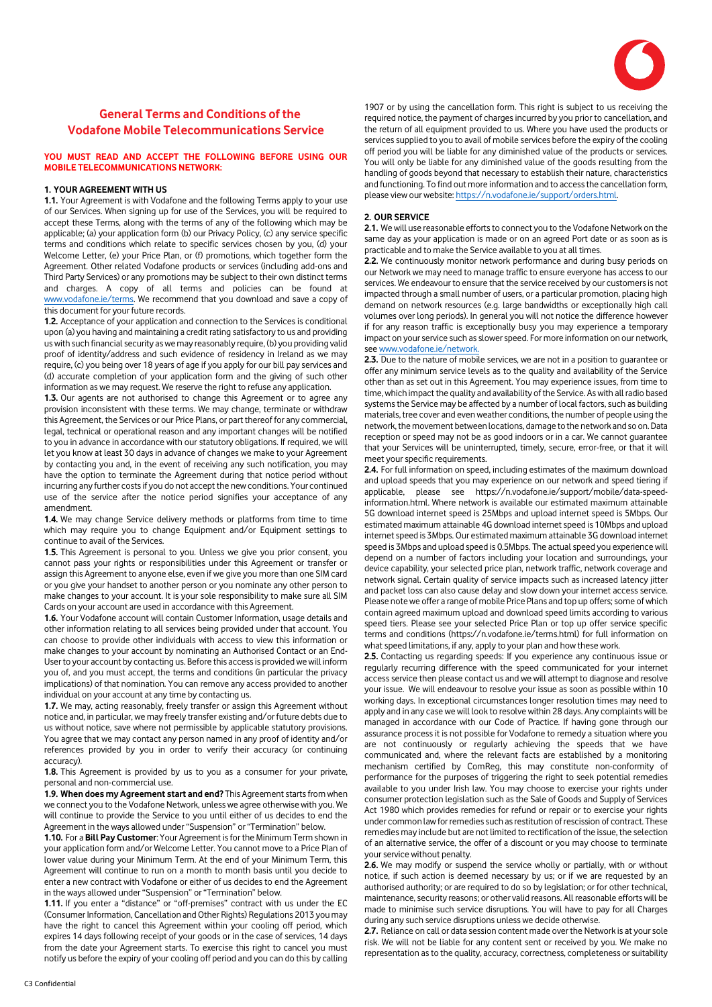

# **General Terms and Conditions of the Vodafone Mobile Telecommunications Service**

# **YOU MUST READ AND ACCEPT THE FOLLOWING BEFORE USING OUR MOBILE TELECOMMUNICATIONS NETWORK:**

# **1. YOUR AGREEMENT WITH US**

**1.1.** Your Agreement is with Vodafone and the following Terms apply to your use of our Services. When signing up for use of the Services, you will be required to accept these Terms, along with the terms of any of the following which may be applicable; (a) your application form (b) our Privacy Policy, (c) any service specific terms and conditions which relate to specific services chosen by you, (d) your Welcome Letter, (e) your Price Plan, or (f) promotions, which together form the Agreement. Other related Vodafone products or services (including add-ons and Third Party Services) or any promotions may be subject to their own distinct terms and charges. A copy of all terms and policies can be found at [www.vodafone.ie/terms.](http://www.vodafone.ie/terms) We recommend that you download and save a copy of this document for your future records.

**1.2.** Acceptance of your application and connection to the Services is conditional upon (a) you having and maintaining a credit rating satisfactory to us and providing us with such financial security as we may reasonably require, (b) you providing valid proof of identity/address and such evidence of residency in Ireland as we may require, (c) you being over 18 years of age if you apply for our bill pay services and (d) accurate completion of your application form and the giving of such other information as we may request. We reserve the right to refuse any application.

**1.3.** Our agents are not authorised to change this Agreement or to agree any provision inconsistent with these terms. We may change, terminate or withdraw this Agreement, the Services or our Price Plans, or part thereof for any commercial, legal, technical or operational reason and any important changes will be notified to you in advance in accordance with our statutory obligations. If required, we will let you know at least 30 days in advance of changes we make to your Agreement by contacting you and, in the event of receiving any such notification, you may have the option to terminate the Agreement during that notice period without incurring any further costsif you do not accept the new conditions. Your continued use of the service after the notice period signifies your acceptance of any amendment.

**1.4.** We may change Service delivery methods or platforms from time to time which may require you to change Equipment and/or Equipment settings to continue to avail of the Services.

**1.5.** This Agreement is personal to you. Unless we give you prior consent, you cannot pass your rights or responsibilities under this Agreement or transfer or assign this Agreement to anyone else, even if we give you more than one SIM card or you give your handset to another person or you nominate any other person to make changes to your account. It is your sole responsibility to make sure all SIM Cards on your account are used in accordance with this Agreement.

**1.6.** Your Vodafone account will contain Customer Information, usage details and other information relating to all services being provided under that account. You can choose to provide other individuals with access to view this information or make changes to your account by nominating an Authorised Contact or an End-User to your account by contacting us. Before this access is provided we will inform you of, and you must accept, the terms and conditions (in particular the privacy implications) of that nomination. You can remove any access provided to another individual on your account at any time by contacting us.

**1.7.** We may, acting reasonably, freely transfer or assign this Agreement without notice and, in particular, we may freely transfer existing and/or future debts due to us without notice, save where not permissible by applicable statutory provisions. You agree that we may contact any person named in any proof of identity and/or references provided by you in order to verify their accuracy (or continuing accuracy).

**1.8.** This Agreement is provided by us to you as a consumer for your private, personal and non-commercial use.

**1.9. When does my Agreement start and end?** This Agreement starts from when we connect you to the Vodafone Network, unless we agree otherwise with you. We will continue to provide the Service to you until either of us decides to end the Agreement in the ways allowed under "Suspension" or "Termination" below.

**1.10.** For a **Bill Pay Customer**: Your Agreement is for the Minimum Term shown in your application form and/or Welcome Letter. You cannot move to a Price Plan of lower value during your Minimum Term. At the end of your Minimum Term, this Agreement will continue to run on a month to month basis until you decide to enter a new contract with Vodafone or either of us decides to end the Agreement in the ways allowed under "Suspension" or "Termination" below.

**1.11.** If you enter a "distance" or "off-premises" contract with us under the EC (Consumer Information, Cancellation and Other Rights) Regulations 2013 you may have the right to cancel this Agreement within your cooling off period, which expires 14 days following receipt of your goods or in the case of services, 14 days from the date your Agreement starts. To exercise this right to cancel you must notify us before the expiry of your cooling off period and you can do this by calling

1907 or by using the cancellation form. This right is subject to us receiving the required notice, the payment of charges incurred by you prior to cancellation, and the return of all equipment provided to us. Where you have used the products or services supplied to you to avail of mobile services before the expiry of the cooling off period you will be liable for any diminished value of the products or services. You will only be liable for any diminished value of the goods resulting from the handling of goods beyond that necessary to establish their nature, characteristics and functioning. To find out more information and to access the cancellation form, please view our website[: https://n.vodafone.ie/support/orders.html.](https://n.vodafone.ie/support/orders.html)

## **2. OUR SERVICE**

**2.1.** We will use reasonable efforts to connect you to the Vodafone Network on the same day as your application is made or on an agreed Port date or as soon as is practicable and to make the Service available to you at all times.

**2.2.** We continuously monitor network performance and during busy periods on our Network we may need to manage traffic to ensure everyone has access to our services. We endeavour to ensure that the service received by our customers is not impacted through a small number of users, or a particular promotion, placing high demand on network resources (e.g. large bandwidths or exceptionally high call volumes over long periods). In general you will not notice the difference however if for any reason traffic is exceptionally busy you may experience a temporary impact on your service such as slower speed. For more information on our network, se[e www.vodafone.ie/network.](http://www.vodafone.ie/network)

**2.3.** Due to the nature of mobile services, we are not in a position to guarantee or offer any minimum service levels as to the quality and availability of the Service other than as set out in this Agreement. You may experience issues, from time to time, which impact the quality and availability of the Service. As with all radio based systems the Service may be affected by a number of local factors, such as building materials, tree cover and even weather conditions, the number of people using the network, the movement between locations, damage to the network and so on. Data reception or speed may not be as good indoors or in a car. We cannot guarantee that your Services will be uninterrupted, timely, secure, error-free, or that it will meet your specific requirements.

**2.4.** For full information on speed, including estimates of the maximum download and upload speeds that you may experience on our network and speed tiering if applicable, please see [https://n.vodafone.ie/support/mobile/data-speed](https://n.vodafone.ie/support/mobile/data-speed-information.html)[information.html.](https://n.vodafone.ie/support/mobile/data-speed-information.html) Where network is available our estimated maximum attainable 5G download internet speed is 25Mbps and upload internet speed is 5Mbps. Our estimated maximum attainable 4G download internet speed is 10Mbps and upload internet speed is 3Mbps. Our estimated maximum attainable 3G download internet speed is 3Mbps and upload speed is 0.5Mbps. The actual speed you experience will depend on a number of factors including your location and surroundings, your device capability, your selected price plan, network traffic, network coverage and network signal. Certain quality of service impacts such as increased latency jitter and packet loss can also cause delay and slow down your internet access service. Please note we offer a range of mobile Price Plans and top up offers; some of which contain agreed maximum upload and download speed limits according to various speed tiers. Please see your selected Price Plan or top up offer service specific terms and conditions [\(https://n.vodafone.ie/terms.html\)](https://n.vodafone.ie/terms.html) for full information on what speed limitations, if any, apply to your plan and how these work.

**2.5.** Contacting us regarding speeds: If you experience any continuous issue or regularly recurring difference with the speed communicated for your internet access service then please contact us and we will attempt to diagnose and resolve your issue. We will endeavour to resolve your issue as soon as possible within 10 working days. In exceptional circumstances longer resolution times may need to apply and in any case we will look to resolve within 28 days. Any complaints will be managed in accordance with our Code of Practice. If having gone through our assurance process it is not possible for Vodafone to remedy a situation where you are not continuously or regularly achieving the speeds that we have communicated and, where the relevant facts are established by a monitoring mechanism certified by ComReg, this may constitute non-conformity of performance for the purposes of triggering the right to seek potential remedies available to you under Irish law. You may choose to exercise your rights under consumer protection legislation such as the Sale of Goods and Supply of Services Act 1980 which provides remedies for refund or repair or to exercise your rights under common law for remedies such as restitution of rescission of contract. These remedies may include but are not limited to rectification of the issue, the selection of an alternative service, the offer of a discount or you may choose to terminate your service without penalty.

**2.6.** We may modify or suspend the service wholly or partially, with or without notice, if such action is deemed necessary by us; or if we are requested by an authorised authority; or are required to do so by legislation; or for other technical, maintenance, security reasons; or other valid reasons. All reasonable efforts will be made to minimise such service disruptions. You will have to pay for all Charges during any such service disruptions unless we decide otherwise.

**2.7.** Reliance on call or data session content made over the Network is at your sole risk. We will not be liable for any content sent or received by you. We make no representation as to the quality, accuracy, correctness, completeness or suitability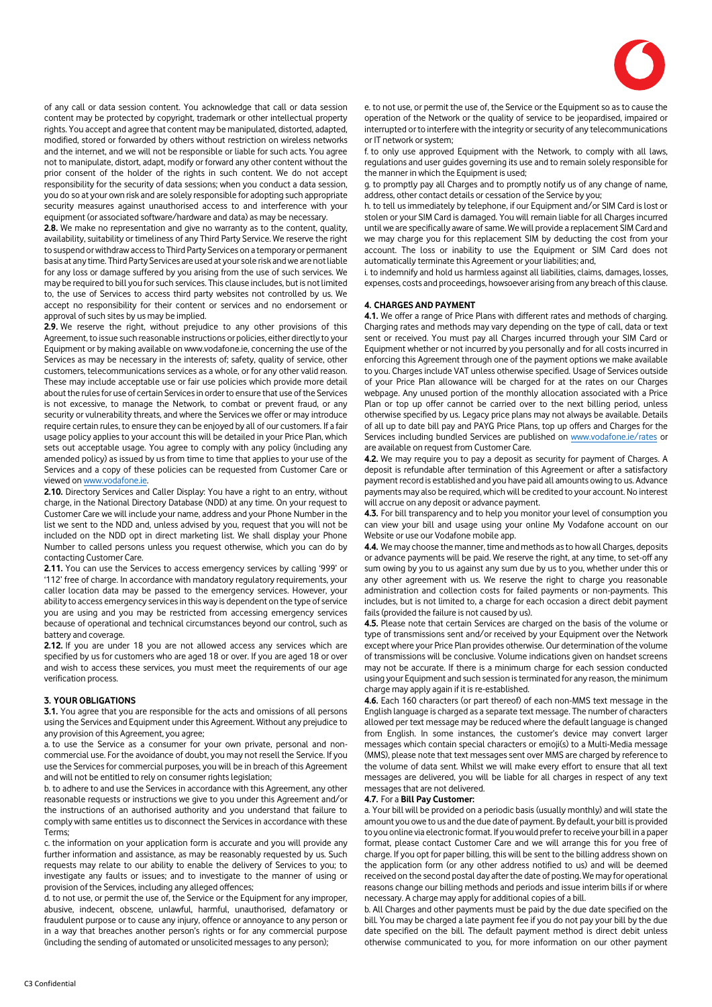

of any call or data session content. You acknowledge that call or data session content may be protected by copyright, trademark or other intellectual property rights. You accept and agree that content may be manipulated, distorted, adapted, modified, stored or forwarded by others without restriction on wireless networks and the internet, and we will not be responsible or liable for such acts. You agree not to manipulate, distort, adapt, modify or forward any other content without the prior consent of the holder of the rights in such content. We do not accept responsibility for the security of data sessions; when you conduct a data session, you do so at your own risk and are solely responsible for adopting such appropriate security measures against unauthorised access to and interference with your equipment (or associated software/hardware and data) as may be necessary.

**2.8.** We make no representation and give no warranty as to the content, quality, availability, suitability or timeliness of any Third Party Service. We reserve the right to suspend or withdraw access to Third Party Services on a temporary or permanent basis at any time. Third Party Services are used at your sole risk and we are not liable for any loss or damage suffered by you arising from the use of such services. We may be required to bill you for such services. This clause includes, but is not limited to, the use of Services to access third party websites not controlled by us. We accept no responsibility for their content or services and no endorsement or approval of such sites by us may be implied.

**2.9.** We reserve the right, without prejudice to any other provisions of this Agreement, to issue such reasonable instructions or policies, either directly to your Equipment or by making available on www.vodafone.ie, concerning the use of the Services as may be necessary in the interests of; safety, quality of service, other customers, telecommunications services as a whole, or for any other valid reason. These may include acceptable use or fair use policies which provide more detail about the rules for use of certain Services in order to ensure that use of the Services is not excessive, to manage the Network, to combat or prevent fraud, or any security or vulnerability threats, and where the Services we offer or may introduce require certain rules, to ensure they can be enjoyed by all of our customers. If a fair usage policy applies to your account this will be detailed in your Price Plan, which sets out acceptable usage. You agree to comply with any policy (including any amended policy) as issued by us from time to time that applies to your use of the Services and a copy of these policies can be requested from Customer Care or viewed on www.vodafone.ie.

**2.10.** Directory Services and Caller Display: You have a right to an entry, without charge, in the National Directory Database (NDD) at any time. On your request to Customer Care we will include your name, address and your Phone Number in the list we sent to the NDD and, unless advised by you, request that you will not be included on the NDD opt in direct marketing list. We shall display your Phone Number to called persons unless you request otherwise, which you can do by contacting Customer Care.

**2.11.** You can use the Services to access emergency services by calling '999' or '112' free of charge. In accordance with mandatory regulatory requirements, your caller location data may be passed to the emergency services. However, your ability to access emergency services in this way is dependent on the type of service you are using and you may be restricted from accessing emergency services because of operational and technical circumstances beyond our control, such as battery and coverage.

**2.12.** If you are under 18 you are not allowed access any services which are specified by us for customers who are aged 18 or over. If you are aged 18 or over and wish to access these services, you must meet the requirements of our age verification process.

# **3. YOUR OBLIGATIONS**

**3.1.** You agree that you are responsible for the acts and omissions of all persons using the Services and Equipment under this Agreement. Without any prejudice to any provision of this Agreement, you agree;

a. to use the Service as a consumer for your own private, personal and noncommercial use. For the avoidance of doubt, you may not resell the Service. If you use the Services for commercial purposes, you will be in breach of this Agreement and will not be entitled to rely on consumer rights legislation;

b. to adhere to and use the Services in accordance with this Agreement, any other reasonable requests or instructions we give to you under this Agreement and/or the instructions of an authorised authority and you understand that failure to comply with same entitles us to disconnect the Services in accordance with these Terms;

c. the information on your application form is accurate and you will provide any further information and assistance, as may be reasonably requested by us. Such requests may relate to our ability to enable the delivery of Services to you; to investigate any faults or issues; and to investigate to the manner of using or provision of the Services, including any alleged offences;

d. to not use, or permit the use of, the Service or the Equipment for any improper, abusive, indecent, obscene, unlawful, harmful, unauthorised, defamatory or fraudulent purpose or to cause any injury, offence or annoyance to any person or in a way that breaches another person's rights or for any commercial purpose (including the sending of automated or unsolicited messages to any person);

e. to not use, or permit the use of, the Service or the Equipment so as to cause the operation of the Network or the quality of service to be jeopardised, impaired or interrupted or to interfere with the integrity or security of any telecommunications or IT network or system;

f. to only use approved Equipment with the Network, to comply with all laws, regulations and user guides governing its use and to remain solely responsible for the manner in which the Equipment is used;

g. to promptly pay all Charges and to promptly notify us of any change of name, address, other contact details or cessation of the Service by you;

h. to tell us immediately by telephone, if our Equipment and/or SIM Card is lost or stolen or your SIM Card is damaged. You will remain liable for all Charges incurred until we are specifically aware of same. We will provide a replacement SIM Card and we may charge you for this replacement SIM by deducting the cost from your account. The loss or inability to use the Equipment or SIM Card does not automatically terminate this Agreement or your liabilities; and,

i. to indemnify and hold us harmless against all liabilities, claims, damages, losses, expenses, costs and proceedings, howsoever arising from any breach of this clause.

#### **4. CHARGES AND PAYMENT**

**4.1.** We offer a range of Price Plans with different rates and methods of charging. Charging rates and methods may vary depending on the type of call, data or text sent or received. You must pay all Charges incurred through your SIM Card or Equipment whether or not incurred by you personally and for all costs incurred in enforcing this Agreement through one of the payment options we make available to you. Charges include VAT unless otherwise specified. Usage of Services outside of your Price Plan allowance will be charged for at the rates on our Charges webpage. Any unused portion of the monthly allocation associated with a Price Plan or top up offer cannot be carried over to the next billing period, unless otherwise specified by us. Legacy price plans may not always be available. Details of all up to date bill pay and PAYG Price Plans, top up offers and Charges for the Services including bundled Services are published o[n www.vodafone.ie/rates](http://www.vodafone.ie/rates) or are available on request from Customer Care.

**4.2.** We may require you to pay a deposit as security for payment of Charges. A deposit is refundable after termination of this Agreement or after a satisfactory payment record is established and you have paid all amounts owing to us. Advance payments may also be required, which will be credited to your account. No interest will accrue on any deposit or advance payment.

**4.3.** For bill transparency and to help you monitor your level of consumption you can view your bill and usage using your online My Vodafone account on our Website or use our Vodafone mobile app.

**4.4.** We may choose the manner, time and methods as to how all Charges, deposits or advance payments will be paid. We reserve the right, at any time, to set-off any sum owing by you to us against any sum due by us to you, whether under this or any other agreement with us. We reserve the right to charge you reasonable administration and collection costs for failed payments or non-payments. This includes, but is not limited to, a charge for each occasion a direct debit payment fails (provided the failure is not caused by us).

**4.5.** Please note that certain Services are charged on the basis of the volume or type of transmissions sent and/or received by your Equipment over the Network except where your Price Plan provides otherwise. Our determination of the volume of transmissions will be conclusive. Volume indications given on handset screens may not be accurate. If there is a minimum charge for each session conducted using your Equipment and such session is terminated for any reason, the minimum charge may apply again if it is re-established.

**4.6.** Each 160 characters (or part thereof) of each non-MMS text message in the English language is charged as a separate text message. The number of characters allowed per text message may be reduced where the default language is changed from English. In some instances, the customer's device may convert larger messages which contain special characters or emoji(s) to a Multi-Media message (MMS), please note that text messages sent over MMS are charged by reference to the volume of data sent. Whilst we will make every effort to ensure that all text messages are delivered, you will be liable for all charges in respect of any text messages that are not delivered.

#### **4.7.** For a **Bill Pay Customer:**

a. Your bill will be provided on a periodic basis (usually monthly) and will state the amount you owe to us and the due date of payment. By default, your bill is provided to you online via electronic format. If you would prefer to receive your bill in a paper format, please contact Customer Care and we will arrange this for you free of charge. If you opt for paper billing, this will be sent to the billing address shown on the application form (or any other address notified to us) and will be deemed received on the second postal day after the date of posting. We may for operational reasons change our billing methods and periods and issue interim bills if or where necessary. A charge may apply for additional copies of a bill.

b. All Charges and other payments must be paid by the due date specified on the bill. You may be charged a late payment fee if you do not pay your bill by the due date specified on the bill. The default payment method is direct debit unless otherwise communicated to you, for more information on our other payment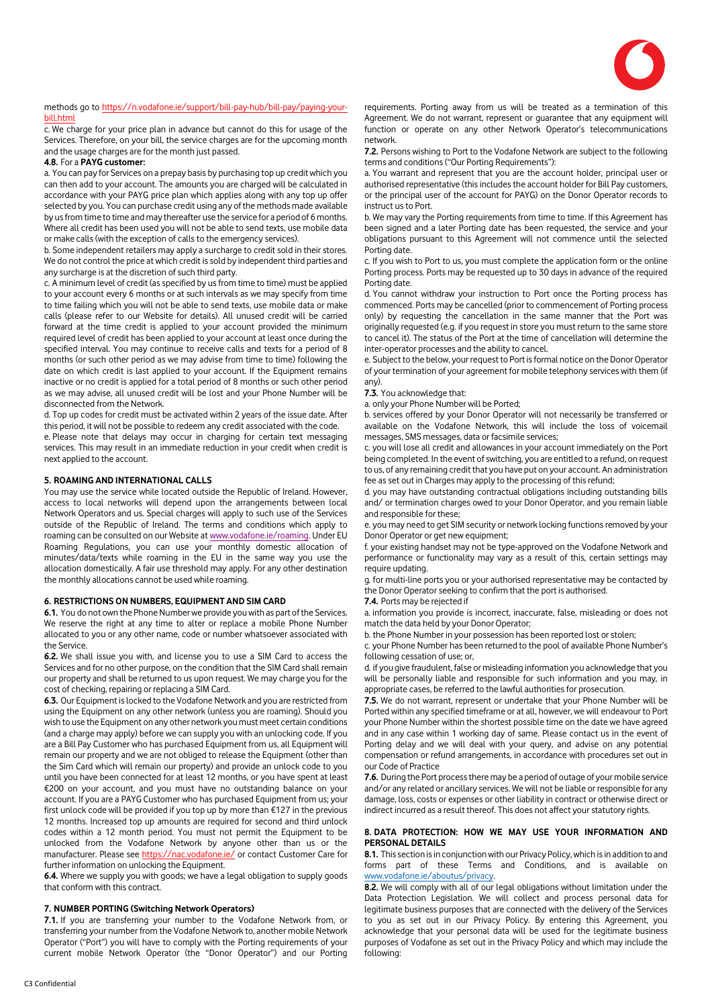

#### methods go t[o https://n.vodafone.ie/support/bill-pay-hub/bill-pay/paying-your](https://n.vodafone.ie/support/bill-pay-hub/bill-pay/paying-your-bill.html)[bill.html](https://n.vodafone.ie/support/bill-pay-hub/bill-pay/paying-your-bill.html)

c. We charge for your price plan in advance but cannot do this for usage of the Services. Therefore, on your bill, the service charges are for the upcoming month and the usage charges are for the month just passed.

#### **4.8.** For a **PAYG customer:**

a. You can pay for Services on a prepay basis by purchasing top up credit which you can then add to your account. The amounts you are charged will be calculated in accordance with your PAYG price plan which applies along with any top up offer selected by you. You can purchase credit using any of the methods made available by us from time to time and may thereafter use the service for a period of 6 months. Where all credit has been used you will not be able to send texts, use mobile data or make calls (with the exception of calls to the emergency services).

b. Some independent retailers may apply a surcharge to credit sold in their stores. We do not control the price at which credit is sold by independent third parties and any surcharge is at the discretion of such third party.

c. A minimum level of credit (as specified by us from time to time) must be applied to your account every 6 months or at such intervals as we may specify from time to time failing which you will not be able to send texts, use mobile data or make calls (please refer to our Website for details). All unused credit will be carried forward at the time credit is applied to your account provided the minimum required level of credit has been applied to your account at least once during the specified interval. You may continue to receive calls and texts for a period of 8 months (or such other period as we may advise from time to time) following the date on which credit is last applied to your account. If the Equipment remains inactive or no credit is applied for a total period of 8 months or such other period as we may advise, all unused credit will be lost and your Phone Number will be disconnected from the Network.

d. Top up codes for credit must be activated within 2 years of the issue date. After this period, it will not be possible to redeem any credit associated with the code.

e. Please note that delays may occur in charging for certain text messaging services. This may result in an immediate reduction in your credit when credit is next applied to the account.

# **5. ROAMING AND INTERNATIONAL CALLS**

You may use the service while located outside the Republic of Ireland. However, access to local networks will depend upon the arrangements between local Network Operators and us. Special charges will apply to such use of the Services outside of the Republic of Ireland. The terms and conditions which apply to roaming can be consulted on our Website at [www.vodafone.ie/roaming.](http://www.vodafone.ie/roaming) Under EU Roaming Regulations, you can use your monthly domestic allocation of minutes/data/texts while roaming in the EU in the same way you use the allocation domestically. A fair use threshold may apply. For any other destination the monthly allocations cannot be used while roaming.

#### **6. RESTRICTIONS ON NUMBERS, EQUIPMENT AND SIM CARD**

**6.1.** You do not own the Phone Number we provide you with as part of the Services. We reserve the right at any time to alter or replace a mobile Phone Number allocated to you or any other name, code or number whatsoever associated with the Service.

**6.2.** We shall issue you with, and license you to use a SIM Card to access the Services and for no other purpose, on the condition that the SIM Card shall remain our property and shall be returned to us upon request. We may charge you for the cost of checking, repairing or replacing a SIM Card.

**6.3.** Our Equipment is locked to the Vodafone Network and you are restricted from using the Equipment on any other network (unless you are roaming). Should you wish to use the Equipment on any other network you must meet certain conditions (and a charge may apply) before we can supply you with an unlocking code. If you are a Bill Pay Customer who has purchased Equipment from us, all Equipment will remain our property and we are not obliged to release the Equipment (other than the Sim Card which will remain our property) and provide an unlock code to you until you have been connected for at least 12 months, or you have spent at least €200 on your account, and you must have no outstanding balance on your account. If you are a PAYG Customer who has purchased Equipment from us; your first unlock code will be provided if you top up by more than  $\epsilon$ 127 in the previous 12 months. Increased top up amounts are required for second and third unlock codes within a 12 month period. You must not permit the Equipment to be unlocked from the Vodafone Network by anyone other than us or the manufacturer. Please se[e https://nac.vodafone.ie/](https://nac.vodafone.ie/) or contact Customer Care for further information on unlocking the Equipment.

**6.4.** Where we supply you with goods; we have a legal obligation to supply goods that conform with this contract.

# **7. NUMBER PORTING (Switching Network Operators)**

**7.1.** If you are transferring your number to the Vodafone Network from, or transferring your number from the Vodafone Network to, another mobile Network Operator ("Port") you will have to comply with the Porting requirements of your current mobile Network Operator (the "Donor Operator") and our Porting

requirements. Porting away from us will be treated as a termination of this Agreement. We do not warrant, represent or guarantee that any equipment will function or operate on any other Network Operator's telecommunications network.

**7.2.** Persons wishing to Port to the Vodafone Network are subject to the following terms and conditions ("Our Porting Requirements"):

a. You warrant and represent that you are the account holder, principal user or authorised representative (this includes the account holder for Bill Pay customers, or the principal user of the account for PAYG) on the Donor Operator records to instruct us to Port.

b. We may vary the Porting requirements from time to time. If this Agreement has been signed and a later Porting date has been requested, the service and your obligations pursuant to this Agreement will not commence until the selected Porting date.

c. If you wish to Port to us, you must complete the application form or the online Porting process. Ports may be requested up to 30 days in advance of the required Porting date.

d. You cannot withdraw your instruction to Port once the Porting process has commenced. Ports may be cancelled (prior to commencement of Porting process only) by requesting the cancellation in the same manner that the Port was originally requested (e.g. if you request in store you must return to the same store to cancel it). The status of the Port at the time of cancellation will determine the inter-operator processes and the ability to cancel.

e. Subject to the below, your request to Port is formal notice on the Donor Operator of your termination of your agreement for mobile telephony services with them (if any).

#### **7.3.** You acknowledge that:

a. only your Phone Number will be Ported;

b. services offered by your Donor Operator will not necessarily be transferred or available on the Vodafone Network, this will include the loss of voicemail messages, SMS messages, data or facsimile services;

c. you will lose all credit and allowances in your account immediately on the Port being completed. In the event of switching, you are entitled to a refund, on request to us, of any remaining credit that you have put on your account. An administration fee as set out in Charges may apply to the processing of this refund;

d. you may have outstanding contractual obligations including outstanding bills and/ or termination charges owed to your Donor Operator, and you remain liable and responsible for these;

e. you may need to get SIM security or network locking functions removed by your Donor Operator or get new equipment;

f. your existing handset may not be type-approved on the Vodafone Network and performance or functionality may vary as a result of this, certain settings may require updating.

g. for multi-line ports you or your authorised representative may be contacted by the Donor Operator seeking to confirm that the port is authorised.

#### **7.4.** Ports may be rejected if

a. information you provide is incorrect, inaccurate, false, misleading or does not match the data held by your Donor Operator;

b. the Phone Number in your possession has been reported lost or stolen;

c. your Phone Number has been returned to the pool of available Phone Number's following cessation of use; or,

d. if you give fraudulent, false or misleading information you acknowledge that you will be personally liable and responsible for such information and you may, in appropriate cases, be referred to the lawful authorities for prosecution.

**7.5.** We do not warrant, represent or undertake that your Phone Number will be Ported within any specified timeframe or at all, however, we will endeavour to Port your Phone Number within the shortest possible time on the date we have agreed and in any case within 1 working day of same. Please contact us in the event of Porting delay and we will deal with your query, and advise on any potential compensation or refund arrangements, in accordance with procedures set out in our Code of Practice

**7.6.** During the Port process there may be a period of outage of your mobile service and/or any related or ancillary services. We will not be liable or responsible for any damage, loss, costs or expenses or other liability in contract or otherwise direct or indirect incurred as a result thereof. This does not affect your statutory rights.

## **8. DATA PROTECTION: HOW WE MAY USE YOUR INFORMATION AND PERSONAL DETAILS**

**8.1.** This section is in conjunction with our Privacy Policy, which is in addition to and forms part of these Terms and Conditions, and is available on [www.vodafone.ie/aboutus/privacy.](http://www.vodafone.ie/aboutus/privacy)

**8.2.** We will comply with all of our legal obligations without limitation under the Data Protection Legislation. We will collect and process personal data for legitimate business purposes that are connected with the delivery of the Services to you as set out in our Privacy Policy. By entering this Agreement, you acknowledge that your personal data will be used for the legitimate business purposes of Vodafone as set out in the Privacy Policy and which may include the following: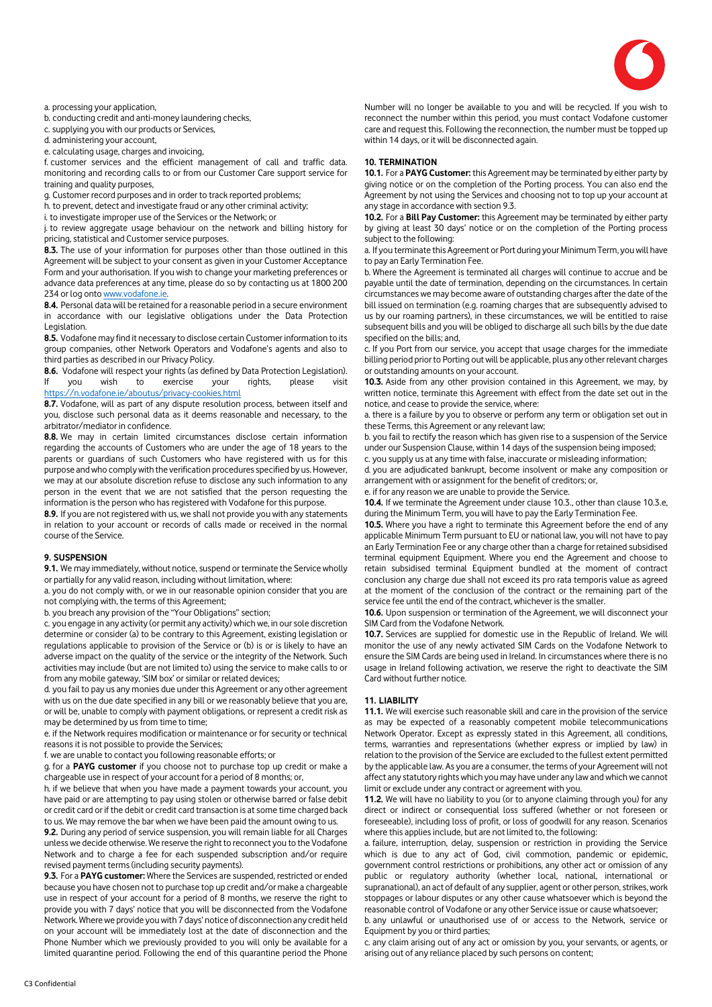

a. processing your application,

b. conducting credit and anti-money laundering checks,

c. supplying you with our products or Services,

d. administering your account,

e. calculating usage, charges and invoicing,

f. customer services and the efficient management of call and traffic data. monitoring and recording calls to or from our Customer Care support service for training and quality purposes,

g. Customer record purposes and in order to track reported problems;

h. to prevent, detect and investigate fraud or any other criminal activity;

i. to investigate improper use of the Services or the Network; or

j. to review aggregate usage behaviour on the network and billing history for pricing, statistical and Customer service purposes.

**8.3.** The use of your information for purposes other than those outlined in this Agreement will be subject to your consent as given in your Customer Acceptance Form and your authorisation. If you wish to change your marketing preferences or advance data preferences at any time, please do so by contacting us at 1800 200 234 or log ont[o www.vodafone.ie.](http://www.vodafone.ie/)

**8.4.** Personal data will be retained for a reasonable period in a secure environment in accordance with our legislative obligations under the Data Protection Legislation.

**8.5.** Vodafone may find it necessary to disclose certain Customer information to its group companies, other Network Operators and Vodafone's agents and also to third parties as described in our Privacy Policy.

**8.6.** Vodafone will respect your rights (as defined by Data Protection Legislation). If you wish to exercise your rights, please visit <https://n.vodafone.ie/aboutus/privacy-cookies.html>

**8.7.** Vodafone, will as part of any dispute resolution process, between itself and you, disclose such personal data as it deems reasonable and necessary, to the arbitrator/mediator in confidence.

**8.8.** We may in certain limited circumstances disclose certain information regarding the accounts of Customers who are under the age of 18 years to the parents or guardians of such Customers who have registered with us for this purpose and who comply with the verification procedures specified by us. However, we may at our absolute discretion refuse to disclose any such information to any person in the event that we are not satisfied that the person requesting the information is the person who has registered with Vodafone for this purpose.

**8.9.** If you are not registered with us, we shall not provide you with any statements in relation to your account or records of calls made or received in the normal course of the Service.

#### **9. SUSPENSION**

**9.1.** We may immediately, without notice, suspend or terminate the Service wholly or partially for any valid reason, including without limitation, where:

a. you do not comply with, or we in our reasonable opinion consider that you are not complying with, the terms of this Agreement;

b. you breach any provision of the "Your Obligations" section;

c. you engage in any activity (or permit any activity) which we, in our sole discretion determine or consider (a) to be contrary to this Agreement, existing legislation or regulations applicable to provision of the Service or (b) is or is likely to have an adverse impact on the quality of the service or the integrity of the Network. Such activities may include (but are not limited to) using the service to make calls to or from any mobile gateway, 'SIM box' or similar or related devices;

d. you fail to pay us any monies due under this Agreement or any other agreement with us on the due date specified in any bill or we reasonably believe that you are, or will be, unable to comply with payment obligations, or represent a credit risk as may be determined by us from time to time;

e. if the Network requires modification or maintenance or for security or technical reasons it is not possible to provide the Services;

f. we are unable to contact you following reasonable efforts; or

g. for a **PAYG customer** if you choose not to purchase top up credit or make a chargeable use in respect of your account for a period of 8 months; or,

h. if we believe that when you have made a payment towards your account, you have paid or are attempting to pay using stolen or otherwise barred or false debit or credit card or if the debit or credit card transaction is at some time charged back to us. We may remove the bar when we have been paid the amount owing to us.

**9.2.** During any period of service suspension, you will remain liable for all Charges unless we decide otherwise. We reserve the right to reconnect you to the Vodafone Network and to charge a fee for each suspended subscription and/or require revised payment terms (including security payments).

**9.3.** For a **PAYG customer:** Where the Services are suspended, restricted or ended because you have chosen not to purchase top up credit and/or make a chargeable use in respect of your account for a period of 8 months, we reserve the right to provide you with 7 days' notice that you will be disconnected from the Vodafone Network. Where we provide you with 7 days' notice of disconnection any credit held on your account will be immediately lost at the date of disconnection and the Phone Number which we previously provided to you will only be available for a limited quarantine period. Following the end of this quarantine period the Phone

Number will no longer be available to you and will be recycled. If you wish to reconnect the number within this period, you must contact Vodafone customer care and request this. Following the reconnection, the number must be topped up within 14 days, or it will be disconnected again.

# **10. TERMINATION**

**10.1.** For a **PAYG Customer:** this Agreement may be terminated by either party by giving notice or on the completion of the Porting process. You can also end the Agreement by not using the Services and choosing not to top up your account at any stage in accordance with section 9.3.

**10.2.** For a **Bill Pay Customer:** this Agreement may be terminated by either party by giving at least 30 days' notice or on the completion of the Porting process subject to the following:

a. If you terminate this Agreement or Port during your Minimum Term, you will have to pay an Early Termination Fee.

b. Where the Agreement is terminated all charges will continue to accrue and be payable until the date of termination, depending on the circumstances. In certain circumstances we may become aware of outstanding charges after the date of the bill issued on termination (e.g. roaming charges that are subsequently advised to us by our roaming partners), in these circumstances, we will be entitled to raise subsequent bills and you will be obliged to discharge all such bills by the due date specified on the bills; and,

c. If you Port from our service, you accept that usage charges for the immediate billing period prior to Porting out will be applicable, plus any other relevant charges or outstanding amounts on your account.

**10.3.** Aside from any other provision contained in this Agreement, we may, by written notice, terminate this Agreement with effect from the date set out in the notice, and cease to provide the service, where:

a. there is a failure by you to observe or perform any term or obligation set out in these Terms, this Agreement or any relevant law;

b. you fail to rectify the reason which has given rise to a suspension of the Service under our Suspension Clause, within 14 days of the suspension being imposed; c. you supply us at any time with false, inaccurate or misleading information;

d. you are adjudicated bankrupt, become insolvent or make any composition or arrangement with or assignment for the benefit of creditors; or,

e. if for any reason we are unable to provide the Service.

**10.4.** If we terminate the Agreement under clause 10.3., other than clause 10.3.e, during the Minimum Term, you will have to pay the Early Termination Fee.

**10.5.** Where you have a right to terminate this Agreement before the end of any applicable Minimum Term pursuant to EU or national law, you will not have to pay an Early Termination Fee or any charge other than a charge for retained subsidised terminal equipment Equipment. Where you end the Agreement and choose to retain subsidised terminal Equipment bundled at the moment of contract conclusion any charge due shall not exceed its pro rata temporis value as agreed at the moment of the conclusion of the contract or the remaining part of the service fee until the end of the contract, whichever is the smaller.

**10.6.** Upon suspension or termination of the Agreement, we will disconnect your SIM Card from the Vodafone Network.

**10.7.** Services are supplied for domestic use in the Republic of Ireland. We will monitor the use of any newly activated SIM Cards on the Vodafone Network to ensure the SIM Cards are being used in Ireland. In circumstances where there is no usage in Ireland following activation, we reserve the right to deactivate the SIM Card without further notice.

#### **11. LIABILITY**

**11.1.** We will exercise such reasonable skill and care in the provision of the service as may be expected of a reasonably competent mobile telecommunications Network Operator. Except as expressly stated in this Agreement, all conditions, terms, warranties and representations (whether express or implied by law) in relation to the provision of the Service are excluded to the fullest extent permitted by the applicable law. As you are a consumer, the terms of your Agreement will not affect any statutory rights which you may have under any law and which we cannot limit or exclude under any contract or agreement with you.

**11.2.** We will have no liability to you (or to anyone claiming through you) for any direct or indirect or consequential loss suffered (whether or not foreseen or foreseeable), including loss of profit, or loss of goodwill for any reason. Scenarios where this applies include, but are not limited to, the following:

a. failure, interruption, delay, suspension or restriction in providing the Service which is due to any act of God, civil commotion, pandemic or epidemic, government control restrictions or prohibitions, any other act or omission of any public or regulatory authority (whether local, national, international or supranational), an act of default of any supplier, agent or other person, strikes, work stoppages or labour disputes or any other cause whatsoever which is beyond the reasonable control of Vodafone or any other Service issue or cause whatsoever;

b. any unlawful or unauthorised use of or access to the Network, service or Equipment by you or third parties;

c. any claim arising out of any act or omission by you, your servants, or agents, or arising out of any reliance placed by such persons on content;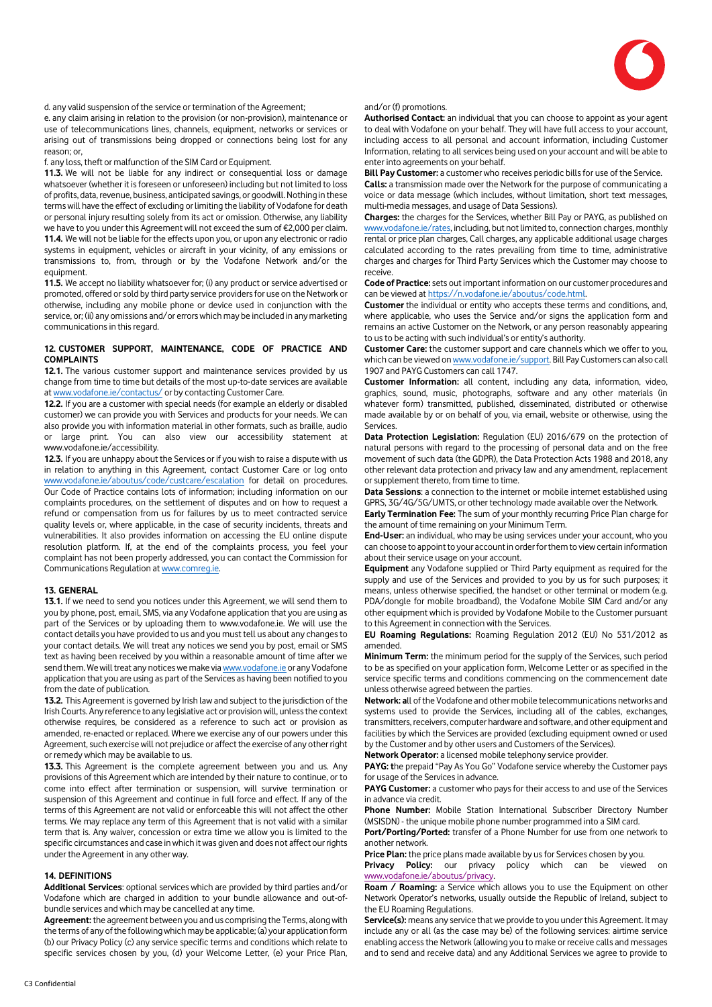

d. any valid suspension of the service or termination of the Agreement;

e. any claim arising in relation to the provision (or non-provision), maintenance or use of telecommunications lines, channels, equipment, networks or services or arising out of transmissions being dropped or connections being lost for any reason; or,

f. any loss, theft or malfunction of the SIM Card or Equipment.

**11.3.** We will not be liable for any indirect or consequential loss or damage whatsoever (whether it is foreseen or unforeseen) including but not limited to loss of profits, data, revenue, business, anticipated savings, or goodwill. Nothing in these terms will have the effect of excluding or limiting the liability of Vodafone for death or personal injury resulting solely from its act or omission. Otherwise, any liability we have to you under this Agreement will not exceed the sum of €2,000 per claim. **11.4.** We will not be liable for the effects upon you, or upon any electronic or radio systems in equipment, vehicles or aircraft in your vicinity, of any emissions or transmissions to, from, through or by the Vodafone Network and/or the equipment.

**11.5.** We accept no liability whatsoever for; (i) any product or service advertised or promoted, offered or sold by third party service providers for use on the Network or otherwise, including any mobile phone or device used in conjunction with the service, or; (ii) any omissions and/or errors which may be included in any marketing communications in this regard.

# **12. CUSTOMER SUPPORT, MAINTENANCE, CODE OF PRACTICE AND COMPLAINTS**

**12.1.** The various customer support and maintenance services provided by us change from time to time but details of the most up-to-date services are available a[t www.vodafone.ie/contactus/](http://www.vodafone.ie/contactus/) or by contacting Customer Care.

**12.2.** If you are a customer with special needs (for example an elderly or disabled customer) we can provide you with Services and products for your needs. We can also provide you with information material in other formats, such as braille, audio or large print. You can also view our accessibility statement at www.vodafone.ie/accessibility.

**12.3.** If you are unhappy about the Services or if you wish to raise a dispute with us in relation to anything in this Agreement, contact Customer Care or log onto [www.vodafone.ie/aboutus/code/custcare/escalation](http://www.vodafone.ie/aboutus/code/custcare/escalation) for detail on procedures. Our Code of Practice contains lots of information; including information on our complaints procedures, on the settlement of disputes and on how to request a refund or compensation from us for failures by us to meet contracted service quality levels or, where applicable, in the case of security incidents, threats and vulnerabilities. It also provides information on accessing the EU online dispute resolution platform. If, at the end of the complaints process, you feel your complaint has not been properly addressed, you can contact the Commission for Communications Regulation a[t www.comreg.ie.](http://www.comreg.ie/) 

# **13. GENERAL**

**13.1.** If we need to send you notices under this Agreement, we will send them to you by phone, post, email, SMS, via any Vodafone application that you are using as part of the Services or by uploading them to www.vodafone.ie. We will use the contact details you have provided to us and you must tell us about any changes to your contact details. We will treat any notices we send you by post, email or SMS text as having been received by you within a reasonable amount of time after we send them. We will treat any notices we make vi[a www.vodafone.ie](http://www.vodafone.ie/) or any Vodafone application that you are using as part of the Services as having been notified to you from the date of publication.

**13.2.** This Agreement is governed by Irish law and subject to the jurisdiction of the Irish Courts. Any reference to any legislative act or provision will, unless the context otherwise requires, be considered as a reference to such act or provision as amended, re-enacted or replaced. Where we exercise any of our powers under this Agreement, such exercise will not prejudice or affect the exercise of any other right or remedy which may be available to us.

**13.3.** This Agreement is the complete agreement between you and us. Any provisions of this Agreement which are intended by their nature to continue, or to come into effect after termination or suspension, will survive termination or suspension of this Agreement and continue in full force and effect. If any of the terms of this Agreement are not valid or enforceable this will not affect the other terms. We may replace any term of this Agreement that is not valid with a similar term that is. Any waiver, concession or extra time we allow you is limited to the specific circumstances and case in which it was given and does not affect our rights under the Agreement in any other way.

## **14. DEFINITIONS**

**Additional Services**: optional services which are provided by third parties and/or Vodafone which are charged in addition to your bundle allowance and out-ofbundle services and which may be cancelled at any time.

**Agreement:** the agreement between you and us comprising the Terms, along with the terms of any of the following which may be applicable; (a) your application form (b) our Privacy Policy (c) any service specific terms and conditions which relate to specific services chosen by you, (d) your Welcome Letter, (e) your Price Plan,

#### and/or (f) promotions.

**Authorised Contact:** an individual that you can choose to appoint as your agent to deal with Vodafone on your behalf. They will have full access to your account, including access to all personal and account information, including Customer Information, relating to all services being used on your account and will be able to enter into agreements on your behalf.

**Bill Pay Customer:** a customer who receives periodic bills for use of the Service.

**Calls:** a transmission made over the Network for the purpose of communicating a voice or data message (which includes, without limitation, short text messages, multi-media messages, and usage of Data Sessions).

**Charges:** the charges for the Services, whether Bill Pay or PAYG, as published on [www.vodafone.ie/rates,](http://www.vodafone.ie/rates) including, but not limited to, connection charges, monthly rental or price plan charges, Call charges, any applicable additional usage charges calculated according to the rates prevailing from time to time, administrative charges and charges for Third Party Services which the Customer may choose to receive.

**Code of Practice:** sets out important information on our customer procedures and can be viewed at https://n.vodafone.ie/aboutus/code.html

**Customer** the individual or entity who accepts these terms and conditions, and, where applicable, who uses the Service and/or signs the application form and remains an active Customer on the Network, or any person reasonably appearing to us to be acting with such individual's or entity's authority.

**Customer Care:** the customer support and care channels which we offer to you, which can be viewed o[n www.vodafone.ie/support.](http://www.vodafone.ie/support) Bill Pay Customers can also call 1907 and PAYG Customers can call 1747.

**Customer Information:** all content, including any data, information, video, graphics, sound, music, photographs, software and any other materials (in whatever form) transmitted, published, disseminated, distributed or otherwise made available by or on behalf of you, via email, website or otherwise, using the **Services** 

**Data Protection Legislation:** Regulation (EU) 2016/679 on the protection of natural persons with regard to the processing of personal data and on the free movement of such data (the GDPR), the Data Protection Acts 1988 and 2018, any other relevant data protection and privacy law and any amendment, replacement or supplement thereto, from time to time.

**Data Sessions**: a connection to the internet or mobile internet established using GPRS, 3G/4G/5G/UMTS, or other technology made available over the Network.

**Early Termination Fee:** The sum of your monthly recurring Price Plan charge for the amount of time remaining on your Minimum Term.

**End-User:** an individual, who may be using services under your account, who you can choose to appoint to your account in order for them to view certain information about their service usage on your account.

**Equipment** any Vodafone supplied or Third Party equipment as required for the supply and use of the Services and provided to you by us for such purposes; it means, unless otherwise specified, the handset or other terminal or modem (e.g. PDA/dongle for mobile broadband), the Vodafone Mobile SIM Card and/or any other equipment which is provided by Vodafone Mobile to the Customer pursuant to this Agreement in connection with the Services.

**EU Roaming Regulations:** Roaming Regulation 2012 (EU) No 531/2012 as amended.

**Minimum Term:** the minimum period for the supply of the Services, such period to be as specified on your application form, Welcome Letter or as specified in the service specific terms and conditions commencing on the commencement date unless otherwise agreed between the parties.

**Network: a**ll of the Vodafone and other mobile telecommunications networks and systems used to provide the Services, including all of the cables, exchanges, transmitters, receivers, computer hardware and software, and other equipment and facilities by which the Services are provided (excluding equipment owned or used by the Customer and by other users and Customers of the Services).

**Network Operator:** a licensed mobile telephony service provider.

**PAYG: t**he prepaid "Pay As You Go" Vodafone service whereby the Customer pays for usage of the Services in advance.

PAYG Customer: a customer who pays for their access to and use of the Services in advance via credit.

**Phone Number:** Mobile Station International Subscriber Directory Number (MSISDN) - the unique mobile phone number programmed into a SIM card.

**Port/Porting/Ported:** transfer of a Phone Number for use from one network to another network.

**Price Plan:** the price plans made available by us for Services chosen by you.

**Privacy Policy:** our privacy policy which can be viewed on [www.vodafone.ie/aboutus/privacy.](http://www.vodafone.ie/aboutus/privacy)

**Roam / Roaming:** a Service which allows you to use the Equipment on other Network Operator's networks, usually outside the Republic of Ireland, subject to the EU Roaming Regulations.

**Service(s):** means any service that we provide to you under this Agreement. It may include any or all (as the case may be) of the following services: airtime service enabling access the Network (allowing you to make or receive calls and messages and to send and receive data) and any Additional Services we agree to provide to